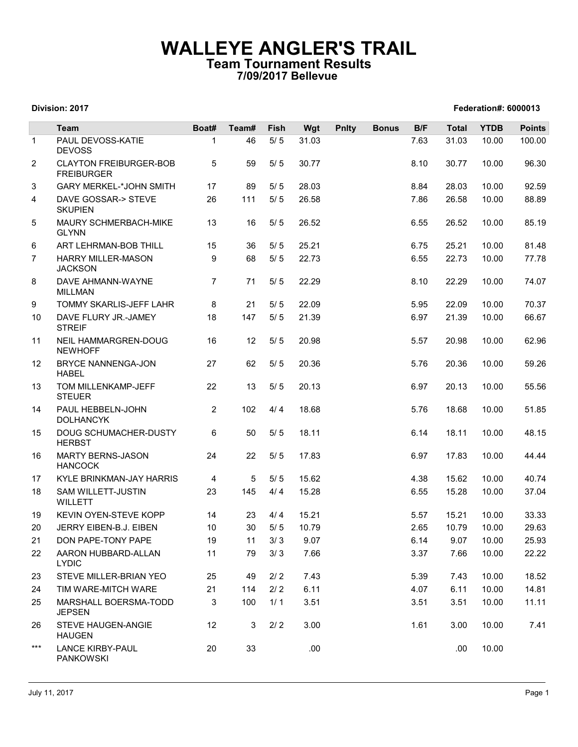## WALLEYE ANGLER'S TRAIL Team Tournament Results 7/09/2017 Bellevue

|                |                                                           |                |             |                | 7/09/2017 Bellevue |              |              |              |                |                      |                |
|----------------|-----------------------------------------------------------|----------------|-------------|----------------|--------------------|--------------|--------------|--------------|----------------|----------------------|----------------|
|                | Division: 2017                                            |                |             |                |                    |              |              |              |                | Federation#: 6000013 |                |
|                | Team                                                      | Boat#          | Team#       | Fish           | Wgt                | <b>Pnlty</b> | <b>Bonus</b> | B/F          | <b>Total</b>   | <b>YTDB</b>          | <b>Points</b>  |
| $\mathbf{1}$   | PAUL DEVOSS-KATIE<br><b>DEVOSS</b>                        | 1              | 46          | $5/5$          | 31.03              |              |              | 7.63         | 31.03          | 10.00                | 100.00         |
| 2              | <b>CLAYTON FREIBURGER-BOB</b><br><b>FREIBURGER</b>        | 5              | 59          | $5/5$          | 30.77              |              |              | 8.10         | 30.77          | 10.00                | 96.30          |
| 3              | <b>GARY MERKEL-*JOHN SMITH</b>                            | 17             | 89          | 5/5            | 28.03              |              |              | 8.84         | 28.03          | 10.00                | 92.59          |
| 4              | DAVE GOSSAR-> STEVE<br><b>SKUPIEN</b>                     | 26             | 111         | $5/5$          | 26.58              |              |              | 7.86         | 26.58          | 10.00                | 88.89          |
| 5              | MAURY SCHMERBACH-MIKE<br><b>GLYNN</b>                     | 13             | 16          | $5/5$          | 26.52              |              |              | 6.55         | 26.52          | 10.00                | 85.19          |
| 6              | ART LEHRMAN-BOB THILL                                     | 15             | 36          | $5/5$          | 25.21              |              |              | 6.75         | 25.21          | 10.00                | 81.48          |
| $\overline{7}$ | <b>HARRY MILLER-MASON</b><br><b>JACKSON</b>               | 9              | 68          | $5/5$          | 22.73              |              |              | 6.55         | 22.73          | 10.00                | 77.78          |
| 8              | DAVE AHMANN-WAYNE<br><b>MILLMAN</b>                       | $\overline{7}$ | 71          | 5/5            | 22.29              |              |              | 8.10         | 22.29          | 10.00                | 74.07          |
| 9              | TOMMY SKARLIS-JEFF LAHR                                   | 8              | 21          | 5/5            | 22.09              |              |              | 5.95         | 22.09          | 10.00                | 70.37          |
| 10             | DAVE FLURY JR.-JAMEY<br><b>STREIF</b>                     | 18             |             | 147 5/5        | 21.39              |              |              | 6.97         |                | 21.39 10.00          | 66.67          |
| 11             | NEIL HAMMARGREN-DOUG<br><b>NEWHOFF</b>                    | 16             | 12          | $5/5$          | 20.98              |              |              | 5.57         | 20.98          | 10.00                | 62.96          |
| 12<br>13       | BRYCE NANNENGA-JON<br><b>HABEL</b><br>TOM MILLENKAMP-JEFF | 27<br>22       | 62<br>13    | $5/5$<br>$5/5$ | 20.36<br>20.13     |              |              | 5.76<br>6.97 | 20.36<br>20.13 | 10.00<br>10.00       | 59.26<br>55.56 |
| 14             | <b>STEUER</b><br>PAUL HEBBELN-JOHN                        | $\overline{2}$ | 102         | 4/4            | 18.68              |              |              | 5.76         | 18.68          | 10.00                | 51.85          |
| 15             | <b>DOLHANCYK</b><br>DOUG SCHUMACHER-DUSTY                 | 6              | 50          | $5/5$          | 18.11              |              |              | 6.14         | 18.11          | 10.00                | 48.15          |
| 16             | <b>HERBST</b><br><b>MARTY BERNS-JASON</b>                 | 24             | 22          | 5/5            | 17.83              |              |              | 6.97         | 17.83          | 10.00                | 44.44          |
|                | <b>HANCOCK</b>                                            |                |             |                |                    |              |              |              |                |                      |                |
| 17             | KYLE BRINKMAN-JAY HARRIS                                  | 4              | $5^{\circ}$ | 5/5            | 15.62              |              |              | 4.38         | 15.62          | 10.00                | 40.74          |
| 18             | SAM WILLETT-JUSTIN<br><b>WILLETT</b>                      | 23             | 145         | 4/4            | 15.28              |              |              | 6.55         | 15.28          | 10.00                | 37.04          |
| 19             | KEVIN OYEN-STEVE KOPP                                     | 14             | 23          | 4/4            | 15.21              |              |              | 5.57         | 15.21          | 10.00                | 33.33          |
| 20             | JERRY EIBEN-B.J. EIBEN                                    | 10             | 30          | $5/5$          | 10.79              |              |              | 2.65         | 10.79          | 10.00                | 29.63          |
| 21             | DON PAPE-TONY PAPE                                        | 19             | 11          | 3/3            | 9.07               |              |              | 6.14         | 9.07           | 10.00                | 25.93          |
| 22             | AARON HUBBARD-ALLAN<br><b>LYDIC</b>                       | 11             | 79          | 3/3            | 7.66               |              |              | 3.37         | 7.66           | 10.00                | 22.22          |
| 23             | STEVE MILLER-BRIAN YEO                                    | 25             | 49          | $2/2$          | 7.43               |              |              | 5.39         | 7.43           | 10.00                | 18.52          |
| 24             | TIM WARE-MITCH WARE                                       | 21             | 114         | $2/2$          | 6.11               |              |              | 4.07         | 6.11           | 10.00                | 14.81          |
| 25             | MARSHALL BOERSMA-TODD<br><b>JEPSEN</b>                    | 3              | 100         | 1/1            | 3.51               |              |              | 3.51         | 3.51           | 10.00                | 11.11          |
| 26             | STEVE HAUGEN-ANGIE<br><b>HAUGEN</b>                       | 12             | 3           | $2/2$          | 3.00               |              |              | 1.61         | 3.00           | 10.00                | 7.41           |
| $***$          | <b>LANCE KIRBY-PAUL</b><br><b>PANKOWSKI</b>               | 20             | 33          |                | .00.               |              |              |              | .00            | 10.00                |                |

### Division: 2017 Federation#: 6000013